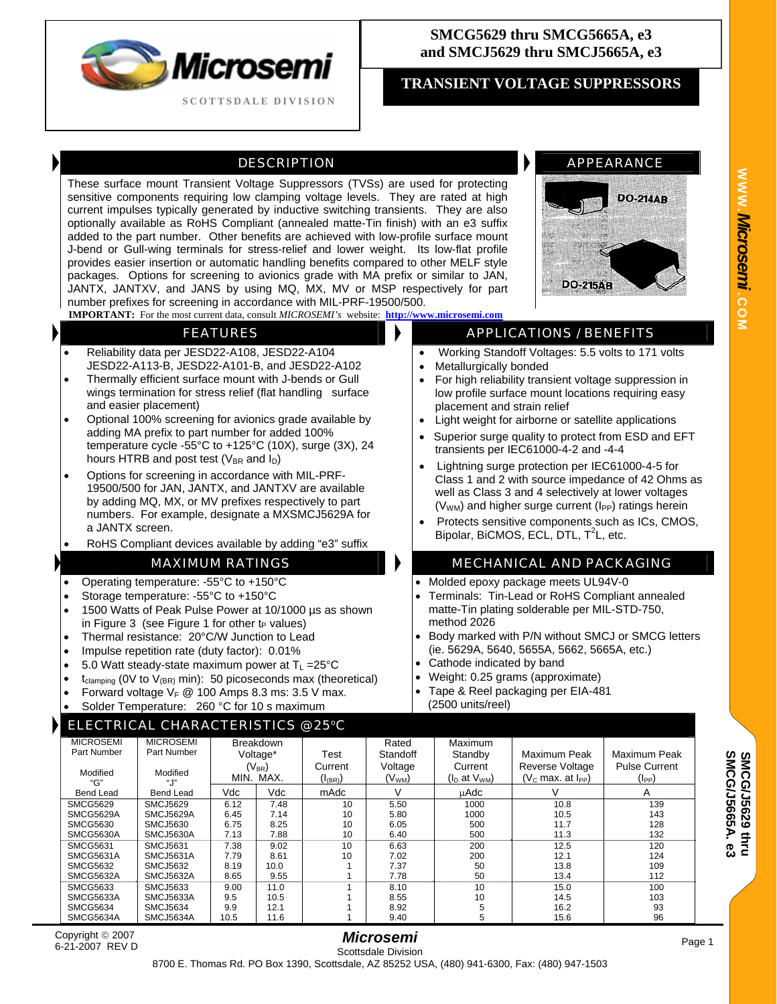

## **SMCG5629 thru SMCG5665A, e3 and SMCJ5629 thru SMCJ5665A, e3**

# **TRANSIENT VOLTAGE SUPPRESSORS**

## DESCRIPTION **APPEARANCE**

These surface mount Transient Voltage Suppressors (TVSs) are used for protecting sensitive components requiring low clamping voltage levels. They are rated at high current impulses typically generated by inductive switching transients. They are also optionally available as RoHS Compliant (annealed matte-Tin finish) with an e3 suffix added to the part number. Other benefits are achieved with low-profile surface mount J-bend or Gull-wing terminals for stress-relief and lower weight. Its low-flat profile provides easier insertion or automatic handling benefits compared to other MELF style packages. Options for screening to avionics grade with MA prefix or similar to JAN, JANTX, JANTXV, and JANS by using MQ, MX, MV or MSP respectively for part number prefixes for screening in accordance with MIL-PRF-19500/500.



- Reliability data per JESD22-A108, JESD22-A104 JESD22-A113-B, JESD22-A101-B, and JESD22-A102
- Thermally efficient surface mount with J-bends or Gull wings termination for stress relief (flat handling surface and easier placement)
- Optional 100% screening for avionics grade available by adding MA prefix to part number for added 100% temperature cycle -55°C to +125°C (10X), surge (3X), 24 hours HTRB and post test ( $V_{BR}$  and  $I_D$ )
- Options for screening in accordance with MIL-PRF-19500/500 for JAN, JANTX, and JANTXV are available by adding MQ, MX, or MV prefixes respectively to part numbers. For example, designate a MXSMCJ5629A for a JANTX screen.
- RoHS Compliant devices available by adding "e3" suffix

- Operating temperature: -55°C to +150°C
- Storage temperature: -55°C to +150°C
- 1500 Watts of Peak Pulse Power at 10/1000 µs as shown in Figure 3 (see Figure 1 for other  $t_P$  values)
- Thermal resistance: 20°C/W Junction to Lead
- Impulse repetition rate (duty factor): 0.01%
- 5.0 Watt steady-state maximum power at  $T_L = 25^{\circ}C$
- $t_{\text{clamping}}$  (OV to  $V_{\text{(BR)}}$  min): 50 picoseconds max (theoretical)
- Forward voltage  $V_F \otimes 100$  Amps 8.3 ms: 3.5 V max.
- Solder Temperature: 260 °C for 10 s maximum

### **ECTRICAL CHARACTERISTICS @ 25°C**



### **FEATURES APPLICATIONS / BENEFITS**

- Working Standoff Voltages: 5.5 volts to 171 volts
- Metallurgically bonded
- For high reliability transient voltage suppression in low profile surface mount locations requiring easy placement and strain relief
- Light weight for airborne or satellite applications
- Superior surge quality to protect from ESD and EFT transients per IEC61000-4-2 and -4-4
- Lightning surge protection per IEC61000-4-5 for Class 1 and 2 with source impedance of 42 Ohms as well as Class 3 and 4 selectively at lower voltages  $(V<sub>WM</sub>)$  and higher surge current ( $I<sub>PP</sub>$ ) ratings herein
- Protects sensitive components such as ICs, CMOS, Bipolar, BiCMOS, ECL, DTL,  $T^2$ L, etc.

#### MAXIMUM RATINGS **MECHANICAL AND PACKAGING**

- Molded epoxy package meets UL94V-0
- Terminals: Tin-Lead or RoHS Compliant annealed matte-Tin plating solderable per MIL-STD-750, method 2026
- Body marked with P/N without SMCJ or SMCG letters (ie. 5629A, 5640, 5655A, 5662, 5665A, etc.)
- Cathode indicated by band
- Weight: 0.25 grams (approximate)
- Tape & Reel packaging per EIA-481 (2500 units/reel)

| <b>MICROSEMI</b> | <b>MICROSEMI</b> | <b>Breakdown</b> |      |                                | Rated              | Maximum              |                        |                      |
|------------------|------------------|------------------|------|--------------------------------|--------------------|----------------------|------------------------|----------------------|
| Part Number      | Part Number      | Voltage*         |      | Test                           | Standoff           | Standby              | Maximum Peak           | Maximum Peak         |
|                  |                  | $(V_{BR})$       |      | Current                        | Voltage            | Current              | <b>Reverse Voltage</b> | <b>Pulse Current</b> |
| Modified<br>"G"  | Modified<br>". Г | MIN.             | MAX. | $(\mathsf{I}_{\mathsf{(BR)}})$ | (V <sub>WM</sub> ) | $(I_D$ at $V_{WM}$ ) | $(Vc$ max. at $IPP$ )  | (I <sub>PP</sub> )   |
| <b>Bend Lead</b> | <b>Bend Lead</b> | Vdc              | Vdc  | mAdc                           | $\vee$             | uAdc                 | V                      | A                    |
| <b>SMCG5629</b>  | SMCJ5629         | 6.12             | 7.48 | 10                             | 5.50               | 1000                 | 10.8                   | 139                  |
| <b>SMCG5629A</b> | SMCJ5629A        | 6.45             | 7.14 | 10                             | 5.80               | 1000                 | 10.5                   | 143                  |
| <b>SMCG5630</b>  | <b>SMCJ5630</b>  | 6.75             | 8.25 | 10                             | 6.05               | 500                  | 11.7                   | 128                  |
| SMCG5630A        | SMCJ5630A        | 7.13             | 7.88 | 10                             | 6.40               | 500                  | 11.3                   | 132                  |
| <b>SMCG5631</b>  | SMCJ5631         | 7.38             | 9.02 | 10                             | 6.63               | 200                  | 12.5                   | 120                  |
| SMCG5631A        | SMCJ5631A        | 7.79             | 8.61 | 10                             | 7.02               | 200                  | 12.1                   | 124                  |
| SMCG5632         | SMCJ5632         | 8.19             | 10.0 |                                | 7.37               | 50                   | 13.8                   | 109                  |
| SMCG5632A        | SMCJ5632A        | 8.65             | 9.55 |                                | 7.78               | 50                   | 13.4                   | 112                  |
| <b>SMCG5633</b>  | SMCJ5633         | 9.00             | 11.0 |                                | 8.10               | 10                   | 15.0                   | 100                  |
| SMCG5633A        | SMCJ5633A        | 9.5              | 10.5 |                                | 8.55               | 10                   | 14.5                   | 103                  |
| <b>SMCG5634</b>  | <b>SMCJ5634</b>  | 9.9              | 12.1 |                                | 8.92               |                      | 16.2                   | 93                   |
| SMCG5634A        | SMCJ5634A        | 10.5             | 11.6 |                                | 9.40               | 5                    | 15.6                   | 96                   |

**SMCG/J5665A SMCG/J5629 thru SMCG/J5629 thru**<br>SMCG/J5665A. e3

**WWW.**

*Microsemi .*

**COM**

Copyright © 2007 6-21-2007 REV D

#### *Microsemi*  Scottsdale Division

Page 1

8700 E. Thomas Rd. PO Box 1390, Scottsdale, AZ 85252 USA, (480) 941-6300, Fax: (480) 947-1503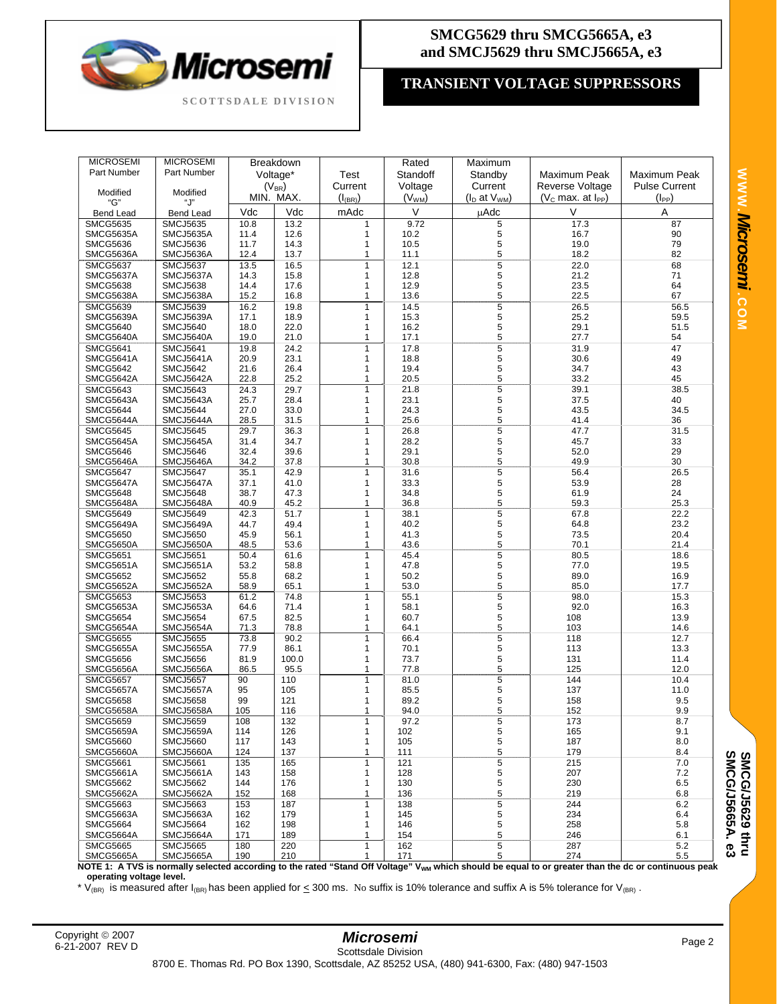

# **SMCG5629 thru SMCG5665A, e3 and SMCJ5629 thru SMCJ5665A, e3**

# **TRANSIENT VOLTAGE SUPPRESSORS**

| <b>MICROSEMI</b> | <b>MICROSEMI</b> | Breakdown  |           |                | Rated              | Maximum            |                     |                      |
|------------------|------------------|------------|-----------|----------------|--------------------|--------------------|---------------------|----------------------|
| Part Number      | Part Number      | Voltage*   |           | Test           | Standoff           | Standby            | Maximum Peak        | Maximum Peak         |
|                  |                  | $(V_{BR})$ |           | Current        | Voltage            | Current            | Reverse Voltage     | <b>Pulse Current</b> |
| Modified         | Modified         |            |           |                |                    |                    |                     |                      |
| "G"              | "ل"              |            | MIN. MAX. | $(I_{(BR)} )$  | (V <sub>WM</sub> ) | $(I_D$ at $V_{WM}$ | $(VC$ max. at $IPP$ | $(I_{PP})$           |
| <b>Bend Lead</b> | <b>Bend Lead</b> | Vdc        | Vdc       | mAdc           | $\sf V$            | μAdc               | V                   | A                    |
| <b>SMCG5635</b>  | <b>SMCJ5635</b>  | 10.8       | 13.2      | 1              | 9.72               | 5                  | 17.3                | 87                   |
| SMCG5635A        | SMCJ5635A        | 11.4       | 12.6      | 1              | 10.2               | 5                  | 16.7                | 90                   |
| <b>SMCG5636</b>  | <b>SMCJ5636</b>  | 11.7       | 14.3      | 1              | 10.5               | 5                  | 19.0                | 79                   |
| SMCG5636A        | SMCJ5636A        | 12.4       | 13.7      | 1              | 11.1               | 5                  | 18.2                | 82                   |
| <b>SMCG5637</b>  | <b>SMCJ5637</b>  | 13.5       | 16.5      | $\overline{1}$ | 12.1               | 5                  | 22.0                | 68                   |
| SMCG5637A        | SMCJ5637A        | 14.3       | 15.8      | 1              | 12.8               | 5                  | 21.2                | 71                   |
| <b>SMCG5638</b>  | <b>SMCJ5638</b>  | 14.4       | 17.6      | $\mathbf{1}$   | 12.9               | 5                  | 23.5                | 64                   |
| SMCG5638A        | SMCJ5638A        | 15.2       | 16.8      | 1              | 13.6               | 5                  | 22.5                | 67                   |
| <b>SMCG5639</b>  | <b>SMCJ5639</b>  | 16.2       | 19.8      | $\overline{1}$ | 14.5               | $\overline{5}$     | 26.5                | 56.5                 |
| SMCG5639A        | SMCJ5639A        | 17.1       | 18.9      | $\mathbf{1}$   | 15.3               | 5                  | 25.2                | 59.5                 |
| <b>SMCG5640</b>  | <b>SMCJ5640</b>  | 18.0       | 22.0      | 1              | 16.2               | 5                  | 29.1                | 51.5                 |
| SMCG5640A        | SMCJ5640A        | 19.0       | 21.0      | 1              | 17.1               | 5                  | 27.7                | 54                   |
| <b>SMCG5641</b>  | <b>SMCJ5641</b>  | 19.8       | 24.2      | 1              | 17.8               | 5                  | 31.9                | 47                   |
| SMCG5641A        | SMCJ5641A        | 20.9       | 23.1      | 1              | 18.8               | 5                  | 30.6                | 49                   |
| <b>SMCG5642</b>  | <b>SMCJ5642</b>  | 21.6       | 26.4      | 1              | 19.4               | 5                  | 34.7                | 43                   |
| SMCG5642A        | SMCJ5642A        | 22.8       | 25.2      | 1              | 20.5               | 5                  | 33.2                | 45                   |
| <b>SMCG5643</b>  | <b>SMCJ5643</b>  | 24.3       | 29.7      | 1              | 21.8               | 5                  | 39.1                | 38.5                 |
| SMCG5643A        | SMCJ5643A        | 25.7       | 28.4      | $\mathbf{1}$   | 23.1               | 5                  | 37.5                | 40                   |
| <b>SMCG5644</b>  | <b>SMCJ5644</b>  | 27.0       | 33.0      | 1              | 24.3               | 5                  | 43.5                | 34.5                 |
| SMCG5644A        | SMCJ5644A        | 28.5       | 31.5      | 1              | 25.6               | 5                  | 41.4                | 36                   |
|                  |                  |            |           |                |                    |                    |                     |                      |
| <b>SMCG5645</b>  | <b>SMCJ5645</b>  | 29.7       | 36.3      | $\mathbf{1}$   | 26.8               | 5                  | 47.7                | 31.5                 |
| SMCG5645A        | SMCJ5645A        | 31.4       | 34.7      | 1              | 28.2               | 5                  | 45.7                | 33<br>29             |
| <b>SMCG5646</b>  | <b>SMCJ5646</b>  | 32.4       | 39.6      | 1              | 29.1               | 5                  | 52.0                |                      |
| SMCG5646A        | SMCJ5646A        | 34.2       | 37.8      | 1              | 30.8               | 5                  | 49.9                | 30                   |
| <b>SMCG5647</b>  | <b>SMCJ5647</b>  | 35.1       | 42.9      | 1              | 31.6               | 5                  | 56.4                | 26.5                 |
| SMCG5647A        | SMCJ5647A        | 37.1       | 41.0      | 1              | 33.3               | 5                  | 53.9                | 28                   |
| <b>SMCG5648</b>  | <b>SMCJ5648</b>  | 38.7       | 47.3      | $\mathbf{1}$   | 34.8               | 5                  | 61.9                | 24                   |
| SMCG5648A        | SMCJ5648A        | 40.9       | 45.2      | 1              | 36.8               | 5                  | 59.3                | 25.3                 |
| <b>SMCG5649</b>  | <b>SMCJ5649</b>  | 42.3       | 51.7      | $\mathbf{1}$   | 38.1               | $\overline{5}$     | 67.8                | 22.2                 |
| SMCG5649A        | SMCJ5649A        | 44.7       | 49.4      | 1              | 40.2               | 5                  | 64.8                | 23.2                 |
| <b>SMCG5650</b>  | <b>SMCJ5650</b>  | 45.9       | 56.1      | 1              | 41.3               | 5                  | 73.5                | 20.4                 |
| SMCG5650A        | SMCJ5650A        | 48.5       | 53.6      | $\mathbf{1}$   | 43.6               | 5                  | 70.1                | 21.4                 |
| <b>SMCG5651</b>  | <b>SMCJ5651</b>  | 50.4       | 61.6      | 1              | 45.4               | 5                  | 80.5                | 18.6                 |
| SMCG5651A        | SMCJ5651A        | 53.2       | 58.8      | 1              | 47.8               | 5                  | 77.0                | 19.5                 |
| <b>SMCG5652</b>  | <b>SMCJ5652</b>  | 55.8       | 68.2      | 1              | 50.2               | 5                  | 89.0                | 16.9                 |
| SMCG5652A        | SMCJ5652A        | 58.9       | 65.1      | 1              | 53.0               | 5                  | 85.0                | 17.7                 |
| <b>SMCG5653</b>  | <b>SMCJ5653</b>  | 61.2       | 74.8      | $\mathbf{1}$   | 55.1               | 5                  | 98.0                | 15.3                 |
| SMCG5653A        | SMCJ5653A        | 64.6       | 71.4      | $\mathbf{1}$   | 58.1               | 5                  | 92.0                | 16.3                 |
| <b>SMCG5654</b>  | <b>SMCJ5654</b>  | 67.5       | 82.5      | 1              | 60.7               | 5                  | 108                 | 13.9                 |
| SMCG5654A        | SMCJ5654A        | 71.3       | 78.8      | $\mathbf{1}$   | 64.1               | 5                  | 103                 | 14.6                 |
| <b>SMCG5655</b>  | <b>SMCJ5655</b>  | 73.8       | 90.2      | $\mathbf{1}$   | 66.4               | 5                  | 118                 | 12.7                 |
| SMCG5655A        | SMCJ5655A        | 77.9       | 86.1      | 1              | 70.1               | 5                  | 113                 | 13.3                 |
| <b>SMCG5656</b>  | <b>SMCJ5656</b>  | 81.9       | 100.0     | 1              | 73.7               | 5                  | 131                 | 11.4                 |
| SMCG5656A        | <b>SMCJ5656A</b> | 86.5       | 95.5      | 1              | 77.8               | 5                  | 125                 | 12.0                 |
| <b>SMCG5657</b>  | <b>SMCJ5657</b>  | 90         | 110       | $\overline{1}$ | 81.0               | $\overline{5}$     | 144                 | 10.4                 |
| SMCG5657A        | SMCJ5657A        | 95         | 105       | 1              | 85.5               | 5                  | 137                 | 11.0                 |
| <b>SMCG5658</b>  | <b>SMCJ5658</b>  | 99         | 121       | 1              | 89.2               | 5                  | 158                 | 9.5                  |
| SMCG5658A        | SMCJ5658A        | 105        | 116       | 1              | 94.0               | 5                  | 152                 | 9.9                  |
| <b>SMCG5659</b>  | <b>SMCJ5659</b>  | 108        | 132       | $\overline{1}$ | 97.2               | 5                  | 173                 | 8.7                  |
| SMCG5659A        | SMCJ5659A        | 114        | 126       | 1              | 102                | 5                  | 165                 | 9.1                  |
| <b>SMCG5660</b>  | <b>SMCJ5660</b>  | 117        | 143       | 1              | 105                | 5                  | 187                 | 8.0                  |
| SMCG5660A        | SMCJ5660A        | 124        | 137       | 1              | 111                | 5                  | 179                 | 8.4                  |
| <b>SMCG5661</b>  | <b>SMCJ5661</b>  | 135        | 165       | 1              | 121                | 5                  | 215                 | 7.0                  |
| SMCG5661A        | <b>SMCJ5661A</b> | 143        | 158       | 1              | 128                | 5                  | 207                 | 7.2                  |
| <b>SMCG5662</b>  | <b>SMCJ5662</b>  | 144        | 176       | 1              | 130                | 5                  | 230                 | 6.5                  |
| SMCG5662A        | SMCJ5662A        | 152        | 168       | 1              | 136                | 5                  | 219                 | 6.8                  |
| <b>SMCG5663</b>  | <b>SMCJ5663</b>  | 153        | 187       | 1              | 138                | 5                  | 244                 | 6.2                  |
| SMCG5663A        | SMCJ5663A        | 162        | 179       | 1              | 145                | 5                  | 234                 | 6.4                  |
| <b>SMCG5664</b>  | <b>SMCJ5664</b>  | 162        | 198       | 1              | 146                | 5                  | 258                 | 5.8                  |
| SMCG5664A        | SMCJ5664A        | 171        | 189       | 1              | 154                | 5                  | 246                 | 6.1                  |
| <b>SMCG5665</b>  | <b>SMCJ5665</b>  | 180        | 220       | 1              | 162                | 5                  | 287                 | 5.2                  |
| SMCG5665A        | SMCJ5665A        | 190        | 210       | $\mathbf{1}$   | 171                | 5                  | 274                 | 5.5                  |

NOTE 1: A TVS is normally selected according to the rated "Stand Off Voltage" V<sub>wM</sub> which should be equal to or greater than the dc or continuous peak **operating voltage level.** 

\* V<sub>(BR)</sub> is measured after I<sub>(BR)</sub> has been applied for  $\leq$  300 ms. No suffix is 10% tolerance and suffix A is 5% tolerance for V<sub>(BR)</sub>.